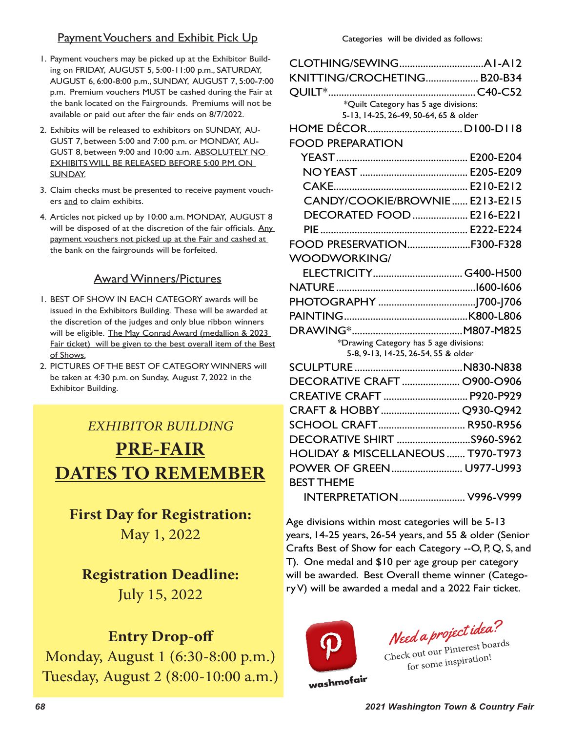## Payment Vouchers and Exhibit Pick Up

- 1. Payment vouchers may be picked up at the Exhibitor Building on FRIDAY, AUGUST 5, 5:00-11:00 p.m., SATURDAY, AUGUST 6, 6:00-8:00 p.m., SUNDAY, AUGUST 7, 5:00-7:00 p.m. Premium vouchers MUST be cashed during the Fair at the bank located on the Fairgrounds. Premiums will not be available or paid out after the fair ends on 8/7/2022.
- 2. Exhibits will be released to exhibitors on SUNDAY, AU-GUST 7, between 5:00 and 7:00 p.m. or MONDAY, AU-GUST 8, between 9:00 and 10:00 a.m. ABSOLUTELY NO EXHIBITS WILL BE RELEASED BEFORE 5:00 P.M. ON SUNDAY.
- 3. Claim checks must be presented to receive payment vouchers and to claim exhibits.
- 4. Articles not picked up by 10:00 a.m. MONDAY, AUGUST 8 will be disposed of at the discretion of the fair officials. Any payment vouchers not picked up at the Fair and cashed at the bank on the fairgrounds will be forfeited.

## Award Winners/Pictures

- 1. BEST OF SHOW IN EACH CATEGORY awards will be issued in the Exhibitors Building. These will be awarded at the discretion of the judges and only blue ribbon winners will be eligible. The May Conrad Award (medallion & 2023 Fair ticket) will be given to the best overall item of the Best of Shows.
- 2. PICTURES OF THE BEST OF CATEGORY WINNERS will be taken at 4:30 p.m. on Sunday, August 7, 2022 in the Exhibitor Building.

# *EXHIBITOR BUILDING*  **PRE-FAIR DATES TO REMEMBER**

**First Day for Registration:**  May 1, 2022

## **Registration Deadline:**

July 15, 2022

# **Entry Drop-off**

Monday, August 1 (6:30-8:00 p.m.) Tuesday, August 2 (8:00-10:00 a.m.)

| KNITTING/CROCHETING B20-B34                   |  |
|-----------------------------------------------|--|
| OUILT <sup>*</sup>                            |  |
| *Quilt Category has 5 age divisions:          |  |
| 5-13, 14-25, 26-49, 50-64, 65 & older         |  |
|                                               |  |
| <b>FOOD PREPARATION</b>                       |  |
|                                               |  |
|                                               |  |
|                                               |  |
| CANDY/COOKIE/BROWNIE E213-E215                |  |
| DECORATED FOOD  E216-E221                     |  |
|                                               |  |
| FOOD PRESERVATIONF300-F328                    |  |
| <b>WOODWORKING/</b>                           |  |
|                                               |  |
|                                               |  |
|                                               |  |
|                                               |  |
|                                               |  |
| *Drawing Category has 5 age divisions:        |  |
| 5-8, 9-13, 14-25, 26-54, 55 & older           |  |
|                                               |  |
| DECORATIVE CRAFT  0900-0906                   |  |
| CREATIVE CRAFT  P920-P929                     |  |
| CRAFT & HOBBY  Q930-Q942                      |  |
| SCHOOL CRAFT R950-R956                        |  |
| DECORATIVE SHIRT S960-S962                    |  |
| <b>HOLIDAY &amp; MISCELLANEOUS  T970-T973</b> |  |
| POWER OF GREEN U977-U993                      |  |
| <b>BEST THEME</b>                             |  |
| <b>INTERPRETATION</b> V996-V999               |  |
|                                               |  |

Age divisions within most categories will be 5-13 years, 14-25 years, 26-54 years, and 55 & older (Senior Crafts Best of Show for each Category --O, P, Q, S, and T). One medal and \$10 per age group per category will be awarded. Best Overall theme winner (Category V) will be awarded a medal and a 2022 Fair ticket.



Need a project idea?

Check out our Pinterest boards for some inspiration!

washmofair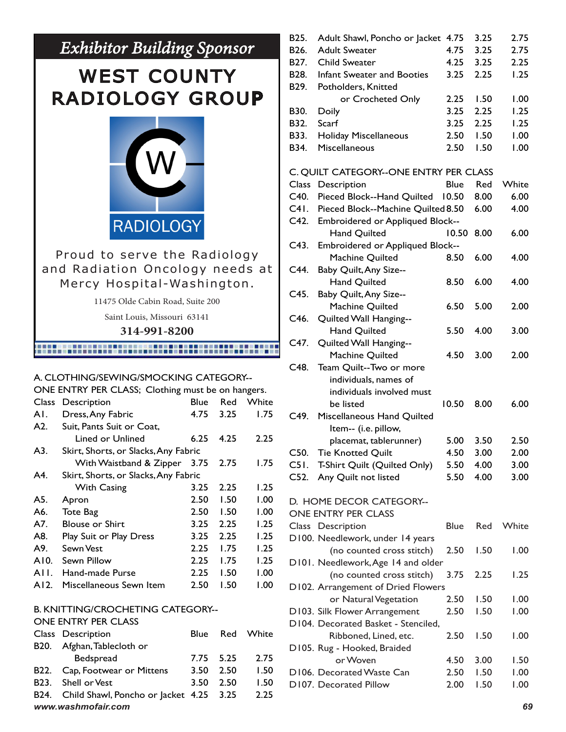# *Exhibitor Building Sponsor*

# WEST COUNTY RADIOLOGY GROUP



## Proud to serve the Radiology and Radiation Oncology needs at Mercy Hospital-Washington.

11475 Olde Cabin Road, Suite 200

Saint Louis, Missouri 63141

#### **314-991-8200**

## 

#### A. CLOTHING/SEWING/SMOCKING CATEGORY--

ONE ENTRY PER CLASS; Clothing must be on hangers.

| <b>Class</b> | Description                          | Blue | Red  | White |
|--------------|--------------------------------------|------|------|-------|
| AI.          | Dress, Any Fabric                    | 4.75 | 3.25 | 1.75  |
| A2.          | Suit, Pants Suit or Coat,            |      |      |       |
|              | Lined or Unlined                     | 6.25 | 4.25 | 2.25  |
| A3.          | Skirt, Shorts, or Slacks, Any Fabric |      |      |       |
|              | With Waistband & Zipper              | 3.75 | 2.75 | 1.75  |
| A4.          | Skirt, Shorts, or Slacks, Any Fabric |      |      |       |
|              | <b>With Casing</b>                   | 3.25 | 2.25 | 1.25  |
| A5.          | Apron                                | 2.50 | 1.50 | 1.00  |
| A6.          | <b>Tote Bag</b>                      | 2.50 | 1.50 | 1.00  |
| A7.          | <b>Blouse or Shirt</b>               | 3.25 | 2.25 | 1.25  |
| A8.          | Play Suit or Play Dress              | 3.25 | 2.25 | 1.25  |
| A9.          | Sewn Vest                            | 2.25 | 1.75 | 1.25  |
| A10.         | Sewn Pillow                          | 2.25 | 1.75 | 1.25  |
| AII.         | Hand-made Purse                      | 2.25 | 1.50 | 1.00  |
| AI2.         | Miscellaneous Sewn Item              | 2.50 | 1.50 | 1.00  |

#### B. KNITTING/CROCHETING CATEGORY--

#### ONE ENTRY PER CLASS

|                   | Class Description                            | Blue      | Red | White | Ribboned, Lined, etc.       | 2.50 | 1.50 | 1.00 <sub>1</sub> |
|-------------------|----------------------------------------------|-----------|-----|-------|-----------------------------|------|------|-------------------|
| B20.              | Afghan, Tablecloth or                        |           |     |       | D105. Rug - Hooked, Braided |      |      |                   |
|                   | Bedspread                                    | 7.75 5.25 |     | 2.75  | or Woven                    | 4.50 | 3.00 | 1.50              |
|                   | B22. Cap, Footwear or Mittens                | 3.50 2.50 |     | 1.50  | D106. Decorated Waste Can   | 2.50 | 1.50 | 1.00              |
| B <sub>23</sub> . | Shell or Vest                                | 3.50 2.50 |     | 1.50  | D107. Decorated Pillow      | 2.00 | 1.50 | 1.00              |
|                   | B24. Child Shawl, Poncho or Jacket 4.25 3.25 |           |     | 2.25  |                             |      |      |                   |
|                   | www.washmofair.com<br>69                     |           |     |       |                             |      |      |                   |

|      | B25. Adult Shawl, Poncho or Jacket 4.75 |      | 3.25 | 2.75 |
|------|-----------------------------------------|------|------|------|
|      | <b>B26.</b> Adult Sweater               | 4.75 | 3.25 | 2.75 |
|      | <b>B27.</b> Child Sweater               | 4.25 | 3.25 | 2.25 |
|      | <b>B28.</b> Infant Sweater and Booties  | 3.25 | 2.25 | 1.25 |
|      | <b>B29.</b> Potholders, Knitted         |      |      |      |
|      | or Crocheted Only                       | 2.25 | 1.50 | 1.00 |
| B30. | Doily                                   | 3.25 | 2.25 | 1.25 |
| B32. | Scarf                                   | 3.25 | 2.25 | 1.25 |
|      | <b>B33.</b> Holiday Miscellaneous       | 2.50 | 1.50 | 1.00 |
| B34. | Miscellaneous                           | 2.50 | 1.50 | 1.00 |
|      |                                         |      |      |      |

#### C. QUILT CATEGORY--ONE ENTRY PER CLASS

| Class             | Description                         | Blue        | Red  | White |
|-------------------|-------------------------------------|-------------|------|-------|
| C40.              | Pieced Block--Hand Quilted          | 10.50       | 8.00 | 6.00  |
| C41.              | Pieced Block--Machine Quilted 8.50  |             | 6.00 | 4.00  |
| C42.              | Embroidered or Appliqued Block--    |             |      |       |
|                   | <b>Hand Quilted</b>                 | 10.50       | 8.00 | 6.00  |
| C43.              | Embroidered or Appliqued Block--    |             |      |       |
|                   | Machine Quilted                     | 8.50        | 6.00 | 4.00  |
| C44.              | Baby Quilt, Any Size--              |             |      |       |
|                   | <b>Hand Quilted</b>                 | 8.50        | 6.00 | 4.00  |
| C45.              | Baby Quilt, Any Size--              |             |      |       |
|                   | Machine Quilted                     | 6.50        | 5.00 | 2.00  |
| C <sub>46</sub> . | Quilted Wall Hanging--              |             |      |       |
|                   | <b>Hand Quilted</b>                 | 5.50        | 4.00 | 3.00  |
| C47.              | Quilted Wall Hanging--              |             |      |       |
|                   | Machine Quilted                     | 4.50        | 3.00 | 2.00  |
| C48.              | Team Quilt--Two or more             |             |      |       |
|                   | individuals, names of               |             |      |       |
|                   | individuals involved must           |             |      |       |
|                   | be listed                           | 10.50       | 8.00 | 6.00  |
| $C49$ .           | Miscellaneous Hand Quilted          |             |      |       |
|                   | Item-- (i.e. pillow,                |             |      |       |
|                   | placemat, tablerunner)              | 5.00        | 3.50 | 2.50  |
| C50.              | <b>Tie Knotted Quilt</b>            | 4.50        | 3.00 | 2.00  |
| C51.              | T-Shirt Quilt (Quilted Only)        | 5.50        | 4.00 | 3.00  |
| $C52$ .           | Any Quilt not listed                | 5.50        | 4.00 | 3.00  |
|                   | D. HOME DECOR CATEGORY--            |             |      |       |
|                   | <b>ONE ENTRY PER CLASS</b>          |             |      |       |
|                   | Class Description                   | <b>Blue</b> | Red  | White |
|                   | D100. Needlework, under 14 years    |             |      |       |
|                   | (no counted cross stitch)           | 2.50        | 1.50 | 1.00  |
|                   | D101. Needlework, Age 14 and older  |             |      |       |
|                   | (no counted cross stitch)           | 3.75        | 2.25 | 1.25  |
|                   | D102. Arrangement of Dried Flowers  |             |      |       |
|                   | or Natural Vegetation               | 2.50        | 1.50 | 1.00  |
|                   | D103. Silk Flower Arrangement       | 2.50        | 1.50 | 00.1  |
|                   | D104. Decorated Basket - Stenciled, |             |      |       |
|                   | Ribboned, Lined, etc.               | 2.50        | 1.50 | 1.00  |
|                   | D105. Rug - Hooked, Braided         |             |      |       |
|                   | or Woven                            | 4.50        | 3.00 | 1.50  |
|                   | D106. Decorated Waste Can           | 2.50        | 1.50 | 1.00  |
|                   | D107. Decorated Pillow              | 2.00        | 1.50 | 00.1  |
|                   |                                     |             |      |       |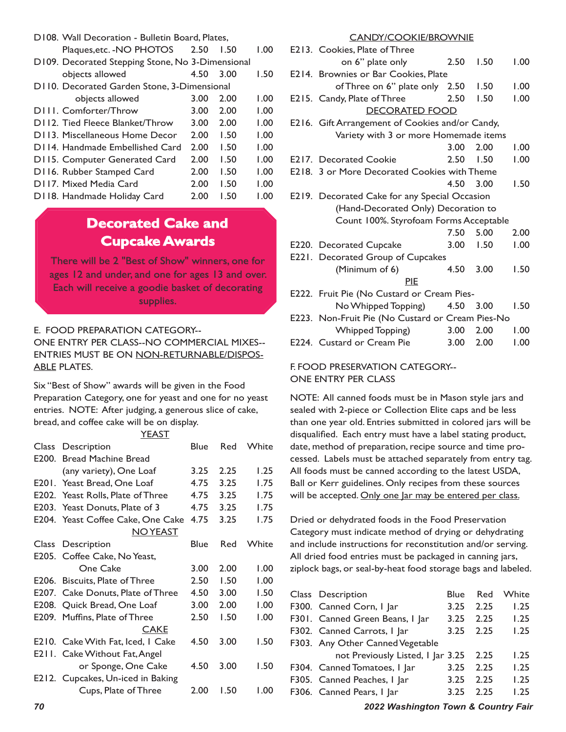| D108. Wall Decoration - Bulletin Board, Plates,  |      |      |      |  |
|--------------------------------------------------|------|------|------|--|
| Plaques, etc. - NO PHOTOS                        | 2.50 | 1.50 | 1.00 |  |
| D109. Decorated Stepping Stone, No 3-Dimensional |      |      |      |  |
| objects allowed                                  | 4.50 | 3.00 | 1.50 |  |
| D110. Decorated Garden Stone, 3-Dimensional      |      |      |      |  |
| objects allowed                                  | 3.00 | 2.00 | 1.00 |  |
| D <sub>III</sub> . Comforter/Throw               | 3.00 | 2.00 | 1.00 |  |
| D112. Tied Fleece Blanket/Throw                  | 3.00 | 2.00 | 1.00 |  |
| D113. Miscellaneous Home Decor                   | 2.00 | 1.50 | 1.00 |  |
| D114. Handmade Embellished Card                  | 2.00 | 1.50 | 1.00 |  |
| D115. Computer Generated Card                    | 2.00 | 1.50 | 1.00 |  |
| D116. Rubber Stamped Card                        | 2.00 | 1.50 | 1.00 |  |
| D117. Mixed Media Card                           | 2.00 | 1.50 | 1.00 |  |
| D118. Handmade Holiday Card                      | 2.00 | 1.50 | 1.00 |  |

## **Decorated Cake and Cupcake Awards**

There will be 2 "Best of Show" winners, one for ages 12 and under, and one for ages 13 and over. Each will receive a goodie basket of decorating supplies.

E. FOOD PREPARATION CATEGORY-- ONE ENTRY PER CLASS--NO COMMERCIAL MIXES-- ENTRIES MUST BE ON NON-RETURNABLE/DISPOS-**ABLE PLATES.** 

Six "Best of Show" awards will be given in the Food Preparation Category, one for yeast and one for no yeast entries. NOTE: After judging, a generous slice of cake, bread, and coffee cake will be on display.

YEAST Class Description **Blue** Red White E200. Bread Machine Bread (any variety), One Loaf 3.25 2.25 1.25 E201. Yeast Bread, One Loaf 4.75 3.25 1.75 E202. Yeast Rolls, Plate of Three 4.75 3.25 1.75 E203. Yeast Donuts, Plate of 3 4.75 3.25 1.75 E204. Yeast Coffee Cake, One Cake 4.75 3.25 1.75 NO YEAST Class Description **Blue** Red White E205. Coffee Cake, No Yeast, One Cake 3.00 2.00 1.00 E206. Biscuits, Plate of Three 2.50 1.50 1.00 E207. Cake Donuts, Plate of Three 4.50 3.00 1.50 E208. Quick Bread, One Loaf 3.00 2.00 1.00 E209. Muffins, Plate of Three 2.50 1.50 1.00 CAKE E210. Cake With Fat, Iced, 1 Cake 4.50 3.00 1.50 E211. Cake Without Fat, Angel or Sponge, One Cake 4.50 3.00 1.50 E212. Cupcakes, Un-iced in Baking Cups, Plate of Three 2.00 1.50 1.00

#### E213. Cookies, Plate of Three on 6" plate only 2.50 1.50 1.00 E214. Brownies or Bar Cookies, Plate of Three on 6" plate only 2.50 1.50 1.00 E215. Candy, Plate of Three 2.50 1.50 1.00 DECORATED FOOD E216. Gift Arrangement of Cookies and/or Candy, Variety with 3 or more Homemade items 3.00 2.00 1.00 E<sub>2</sub>17. Decorated Cookie **2.50** 1.50 1.00 E218. 3 or More Decorated Cookies with Theme 4.50 3.00 1.50 E219. Decorated Cake for any Special Occasion (Hand-Decorated Only) Decoration to Count 100%. Styrofoam Forms Acceptable 7.50 5.00 2.00 E220. Decorated Cupcake 3.00 1.50 1.00 E221. Decorated Group of Cupcakes (Minimum of 6) 4.50 3.00 1.50 PIE E222. Fruit Pie (No Custard or Cream Pies- No Whipped Topping) 4.50 3.00 1.50 E223. Non-Fruit Pie (No Custard or Cream Pies-No Whipped Topping) 3.00 2.00 1.00 E224. Custard or Cream Pie 3.00 2.00 1.00

CANDY/COOKIE/BROWNIE

#### F. FOOD PRESERVATION CATEGORY-- ONE ENTRY PER CLASS

NOTE: All canned foods must be in Mason style jars and sealed with 2-piece or Collection Elite caps and be less than one year old. Entries submitted in colored jars will be disqualified. Each entry must have a label stating product, date, method of preparation, recipe source and time processed. Labels must be attached separately from entry tag. All foods must be canned according to the latest USDA, Ball or Kerr guidelines. Only recipes from these sources will be accepted. Only one Jar may be entered per class.

Dried or dehydrated foods in the Food Preservation Category must indicate method of drying or dehydrating and include instructions for reconstitution and/or serving. All dried food entries must be packaged in canning jars, ziplock bags, or seal-by-heat food storage bags and labeled.

| Class Description                 | <b>Blue</b> | Red  | White |
|-----------------------------------|-------------|------|-------|
| F300. Canned Corn, I Jar          | 3.25        | 2.25 | 1.25  |
| F301. Canned Green Beans, I Jar   | 3.25        | 2.25 | 1.25  |
| F302. Canned Carrots, I Jar       | 3.25        | 2.25 | 1.25  |
| F303. Any Other Canned Vegetable  |             |      |       |
| not Previously Listed, I Jar 3.25 |             | 2.25 | 1.25  |
| F304. Canned Tomatoes, I Jar      | 3.25        | 2.25 | 1.25  |
| F305. Canned Peaches, I Jar       | 3.25        | 2.25 | 1.25  |
| F306. Canned Pears, I Jar         | 3.25        | 2.25 | 1.25  |

*70 2022 Washington Town & Country Fair*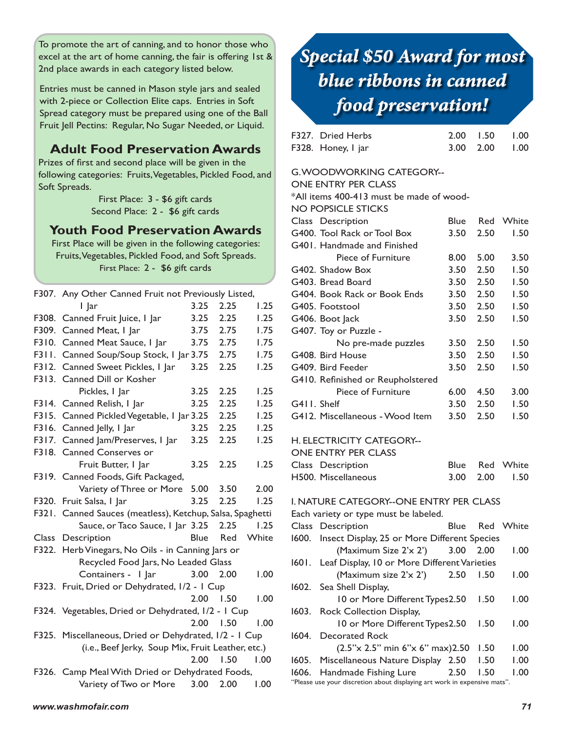To promote the art of canning, and to honor those who excel at the art of home canning, the fair is offering 1st & 2nd place awards in each category listed below.

Entries must be canned in Mason style jars and sealed with 2-piece or Collection Elite caps. Entries in Soft Spread category must be prepared using one of the Ball Fruit Jell Pectins: Regular, No Sugar Needed, or Liquid.

## **Adult Food Preservation Awards**

Prizes of first and second place will be given in the following categories: Fruits, Vegetables, Pickled Food, and Soft Spreads.

> First Place: 3 - \$6 gift cards Second Place: 2 - \$6 gift cards

### **Youth Food Preservation Awards**

First Place will be given in the following categories: Fruits, Vegetables, Pickled Food, and Soft Spreads. First Place: 2 - \$6 gift cards

|       | F307. Any Other Canned Fruit not Previously Listed,   |             |      |       |  |
|-------|-------------------------------------------------------|-------------|------|-------|--|
|       | I lar                                                 | 3.25        | 2.25 | 1.25  |  |
| F308. | Canned Fruit Juice, I Jar                             | 3.25        | 2.25 | 1.25  |  |
| F309. | Canned Meat, I Jar                                    | 3.75        | 2.75 | 1.75  |  |
| F310. | Canned Meat Sauce, I Jar                              | 3.75        | 2.75 | 1.75  |  |
| F311. | Canned Soup/Soup Stock, I Jar 3.75                    |             | 2.75 | 1.75  |  |
| F312. | Canned Sweet Pickles, I Jar                           | 3.25        | 2.25 | 1.25  |  |
| F313. | Canned Dill or Kosher                                 |             |      |       |  |
|       | Pickles, I Jar                                        | 3.25        | 2.25 | 1.25  |  |
| F314. | Canned Relish, I Jar                                  | 3.25        | 2.25 | 1.25  |  |
| F315. | Canned Pickled Vegetable, I Jar 3.25                  |             | 2.25 | 1.25  |  |
| F316. | Canned Jelly, I Jar                                   | 3.25        | 2.25 | 1.25  |  |
| F317. | Canned Jam/Preserves, I Jar                           | 3.25        | 2.25 | 1.25  |  |
|       | F318. Canned Conserves or                             |             |      |       |  |
|       | Fruit Butter, I Jar                                   | 3.25        | 2.25 | 1.25  |  |
| F319. | Canned Foods, Gift Packaged,                          |             |      |       |  |
|       | Variety of Three or More                              | 5.00        | 3.50 | 2.00  |  |
| F320. | Fruit Salsa, I Jar                                    | 3.25        | 2.25 | 1.25  |  |
| F321. | Canned Sauces (meatless), Ketchup, Salsa, Spaghetti   |             |      |       |  |
|       | Sauce, or Taco Sauce, 1 Jar 3.25                      |             | 2.25 | 1.25  |  |
| Class | Description                                           | <b>Blue</b> | Red  | White |  |
|       | F322. Herb Vinegars, No Oils - in Canning Jars or     |             |      |       |  |
|       | Recycled Food Jars, No Leaded Glass                   |             |      |       |  |
|       | Containers - I Jar                                    | 3.00        | 2.00 | 1.00  |  |
|       | F323. Fruit, Dried or Dehydrated, I/2 - I Cup         |             |      |       |  |
|       |                                                       | 2.00        | 1.50 | 1.00  |  |
|       | F324. Vegetables, Dried or Dehydrated, I/2 - I Cup    |             |      |       |  |
|       |                                                       | 2.00        | 1.50 | 1.00  |  |
|       | F325. Miscellaneous, Dried or Dehydrated, I/2 - I Cup |             |      |       |  |
|       | (i.e., Beef Jerky, Soup Mix, Fruit Leather, etc.)     |             |      |       |  |
|       |                                                       | 2.00        | 1.50 | 1.00  |  |
|       | F326. Camp Meal With Dried or Dehydrated Foods,       |             |      |       |  |
|       | Variety of Two or More                                | 3.00        | 2.00 | 1.00  |  |

# *Special \$50 Award for most blue ribbons in canned food preservation!*

| F327. Dried Herbs  | 2.00 1.50 1.00 |  |
|--------------------|----------------|--|
| F328. Honey, I jar | 3.00 2.00 1.00 |  |

#### G. WOODWORKING CATEGORY--

ONE ENTRY PER CLASS

\*All items 400-413 must be made of wood-

| <b>NO POPSICLE STICKS</b>         |      |      |           |
|-----------------------------------|------|------|-----------|
| Class Description                 | Blue |      | Red White |
| G400. Tool Rack or Tool Box       | 3.50 | 2.50 | 1.50      |
| G401. Handmade and Finished       |      |      |           |
| Piece of Furniture                | 8.00 | 5.00 | 3.50      |
| G402. Shadow Box                  | 3.50 | 2.50 | 1.50      |
| G403. Bread Board                 | 3.50 | 2.50 | 1.50      |
| G404. Book Rack or Book Ends      | 3.50 | 2.50 | 1.50      |
| G405. Footstool                   | 3.50 | 2.50 | 1.50      |
| G406. Boot Jack                   | 3.50 | 2.50 | 1.50      |
| G407. Toy or Puzzle -             |      |      |           |
| No pre-made puzzles               | 3.50 | 2.50 | 1.50      |
| G408. Bird House                  | 3.50 | 2.50 | 1.50      |
| G409. Bird Feeder                 | 3.50 | 2.50 | 1.50      |
| G410. Refinished or Reupholstered |      |      |           |
| <b>Piece of Furniture</b>         | 6.00 | 4.50 | 3.00      |
| G411. Shelf                       | 3.50 | 2.50 | 1.50      |
| G412. Miscellaneous - Wood Item   | 3.50 | 2.50 | 1.50      |

#### H. ELECTRICITY CATEGORY--

| <b>ONE ENTRY PER CLASS</b> |  |                |
|----------------------------|--|----------------|
| Class Description          |  | Blue Red White |
| H500. Miscellaneous        |  | 3.00 2.00 1.50 |

| F319. Canned Foods, Gift Packaged,                        |      |               |       | H500. Miscellaneous                                                       | 3.00 | 2.00 | 1.50      |
|-----------------------------------------------------------|------|---------------|-------|---------------------------------------------------------------------------|------|------|-----------|
| Variety of Three or More 5.00                             |      | 3.50          | 2.00  |                                                                           |      |      |           |
| F320. Fruit Salsa, I Jar                                  |      | $3.25$ $2.25$ | 1.25  | I. NATURE CATEGORY--ONE ENTRY PER CLASS                                   |      |      |           |
| F321. Canned Sauces (meatless), Ketchup, Salsa, Spaghetti |      |               |       | Each variety or type must be labeled.                                     |      |      |           |
| Sauce, or Taco Sauce, I Jar 3.25 2.25                     |      |               | 1.25  | Class Description                                                         | Blue |      | Red White |
| Class Description                                         | Blue | Red           | White | 1600. Insect Display, 25 or More Different Species                        |      |      |           |
| F322. Herb Vinegars, No Oils - in Canning Jars or         |      |               |       | $(Maximum Size 2'x 2')$ 3.00                                              |      | 2.00 | 1.00      |
| Recycled Food Jars, No Leaded Glass                       |      |               |       | 1601. Leaf Display, 10 or More Different Varieties                        |      |      |           |
| Containers - I Jar 3.00 2.00                              |      |               | 1.00  | (Maximum size $2 \times 2'$ )                                             | 2.50 | 1.50 | 1.00      |
| F323. Fruit, Dried or Dehydrated, I/2 - I Cup             |      |               |       | 1602. Sea Shell Display,                                                  |      |      |           |
|                                                           |      | $2.00$ 1.50   | 1.00  | 10 or More Different Types2.50                                            |      | 1.50 | 1.00      |
| F324. Vegetables, Dried or Dehydrated, I/2 - I Cup        |      |               |       | 1603. Rock Collection Display,                                            |      |      |           |
|                                                           |      | $2.00$ 1.50   | 1.00  | 10 or More Different Types2.50                                            |      | 1.50 | 1.00      |
| F325. Miscellaneous, Dried or Dehydrated, I/2 - I Cup     |      |               |       | 1604. Decorated Rock                                                      |      |      |           |
| (i.e., Beef Jerky, Soup Mix, Fruit Leather, etc.)         |      |               |       | $(2.5'' \times 2.5''$ min 6"x 6" max) 2.50                                |      | 1.50 | 1.00      |
|                                                           | 2.00 | 1.50          | 1.00  | 1605. Miscellaneous Nature Display 2.50                                   |      | 1.50 | 1.00      |
| F326. Camp Meal With Dried or Dehydrated Foods,           |      |               |       | 1606. Handmade Fishing Lure                                               | 2.50 | 1.50 | 1.00      |
| Variety of Two or More 3.00                               |      | 2.00          | 1.00  | "Please use your discretion about displaying art work in expensive mats". |      |      |           |
| www.washmofair.com                                        |      |               |       |                                                                           |      |      | 71        |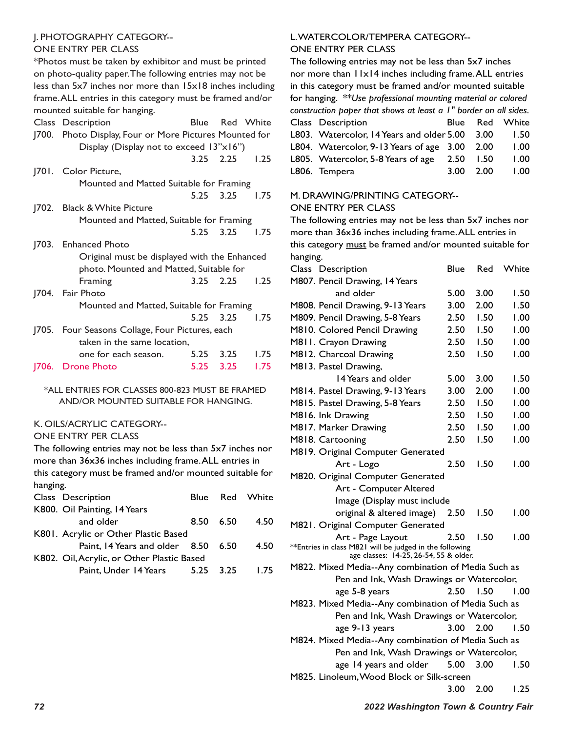#### J. PHOTOGRAPHY CATEGORY--

#### ONE ENTRY PER CLASS

\*Photos must be taken by exhibitor and must be printed on photo-quality paper. The following entries may not be less than 5x7 inches nor more than 15x18 inches including frame. ALL entries in this category must be framed and/or mounted suitable for hanging.

| Description<br>Class                              |                    |                             |                                                                                                                                                                                                                                                                                                                                                                                                                                                                           |
|---------------------------------------------------|--------------------|-----------------------------|---------------------------------------------------------------------------------------------------------------------------------------------------------------------------------------------------------------------------------------------------------------------------------------------------------------------------------------------------------------------------------------------------------------------------------------------------------------------------|
| <b>J700.</b>                                      |                    |                             |                                                                                                                                                                                                                                                                                                                                                                                                                                                                           |
|                                                   |                    |                             |                                                                                                                                                                                                                                                                                                                                                                                                                                                                           |
|                                                   |                    |                             | 1.25                                                                                                                                                                                                                                                                                                                                                                                                                                                                      |
| J701. Color Picture,                              |                    |                             |                                                                                                                                                                                                                                                                                                                                                                                                                                                                           |
|                                                   |                    |                             |                                                                                                                                                                                                                                                                                                                                                                                                                                                                           |
|                                                   |                    | 3.25                        | 1.75                                                                                                                                                                                                                                                                                                                                                                                                                                                                      |
| <u> </u> 702.<br><b>Black &amp; White Picture</b> |                    |                             |                                                                                                                                                                                                                                                                                                                                                                                                                                                                           |
|                                                   |                    |                             |                                                                                                                                                                                                                                                                                                                                                                                                                                                                           |
|                                                   |                    |                             | 1.75                                                                                                                                                                                                                                                                                                                                                                                                                                                                      |
| 1703.<br><b>Enhanced Photo</b>                    |                    |                             |                                                                                                                                                                                                                                                                                                                                                                                                                                                                           |
|                                                   |                    |                             |                                                                                                                                                                                                                                                                                                                                                                                                                                                                           |
|                                                   |                    |                             |                                                                                                                                                                                                                                                                                                                                                                                                                                                                           |
| Framing                                           |                    |                             | 1.25                                                                                                                                                                                                                                                                                                                                                                                                                                                                      |
| <u> </u> 704.<br>Fair Photo                       |                    |                             |                                                                                                                                                                                                                                                                                                                                                                                                                                                                           |
|                                                   |                    |                             |                                                                                                                                                                                                                                                                                                                                                                                                                                                                           |
|                                                   |                    |                             | 1.75                                                                                                                                                                                                                                                                                                                                                                                                                                                                      |
| 1705.                                             |                    |                             |                                                                                                                                                                                                                                                                                                                                                                                                                                                                           |
|                                                   |                    |                             |                                                                                                                                                                                                                                                                                                                                                                                                                                                                           |
| one for each season.                              |                    |                             | 1.75                                                                                                                                                                                                                                                                                                                                                                                                                                                                      |
|                                                   | 5.25               | 3.25                        | 1.75                                                                                                                                                                                                                                                                                                                                                                                                                                                                      |
|                                                   | <b>Drone Photo</b> | taken in the same location, | Blue Red White<br>Photo Display, Four or More Pictures Mounted for<br>Display (Display not to exceed 13"x16")<br>$3.25$ $2.25$<br>Mounted and Matted Suitable for Framing<br>5.25<br>Mounted and Matted, Suitable for Framing<br>5.25 3.25<br>Original must be displayed with the Enhanced<br>photo. Mounted and Matted, Suitable for<br>$3.25$ $2.25$<br>Mounted and Matted, Suitable for Framing<br>5.25 3.25<br>Four Seasons Collage, Four Pictures, each<br>5.25 3.25 |

#### \*ALL ENTRIES FOR CLASSES 800-823 MUST BE FRAMED AND/OR MOUNTED SUITABLE FOR HANGING.

#### K. OILS/ACRYLIC CATEGORY--

#### ONE ENTRY PER CLASS

The following entries may not be less than 5x7 inches nor more than 36x36 inches including frame. ALL entries in this category must be framed and/or mounted suitable for hanging. Class Description Blue Red White

| $S1$ and $S2$ and $S3$ and $S4$ and $S5$ and $S6$ and $S7$ and $S8$ and $S9$ and $S1$ and $S1$ and $S1$ and $S1$ and $S1$ and $S1$ |           |      |
|------------------------------------------------------------------------------------------------------------------------------------|-----------|------|
| K800. Oil Painting, 14 Years                                                                                                       |           |      |
| and older                                                                                                                          | 8.50 6.50 | 4.50 |
| K801. Acrylic or Other Plastic Based                                                                                               |           |      |
| Paint, 14 Years and older 8.50 6.50                                                                                                |           | 4.50 |
| K802. Oil, Acrylic, or Other Plastic Based                                                                                         |           |      |
| Paint. Under 14 Years 5.25 3.25                                                                                                    |           | 1.75 |

#### L. WATERCOLOR/TEMPERA CATEGORY-- ONE ENTRY PER CLASS

The following entries may not be less than 5x7 inches nor more than 11x14 inches including frame. ALL entries in this category must be framed and/or mounted suitable for hanging. *\*\*Use professional mounting material or colored construction paper that shows at least a 1" border on all sides.* Class Description **Blue Red White** L803. Watercolor, 14 Years and older 5.00 3.00 1.50 L804. Watercolor, 9-13 Years of age 3.00 2.00 1.00 L805. Watercolor, 5-8 Years of age 2.50 1.50 1.00 L806. Tempera 3.00 2.00 1.00

#### M. DRAWING/PRINTING CATEGORY--

#### ONE ENTRY PER CLASS

The following entries may not be less than 5x7 inches nor more than 36x36 inches including frame. ALL entries in this category must be framed and/or mounted suitable for hanging.

| Class Description                                                                                 | <b>Blue</b> | Red  | White |
|---------------------------------------------------------------------------------------------------|-------------|------|-------|
| M807. Pencil Drawing, 14 Years                                                                    |             |      |       |
| and older                                                                                         | 5.00        | 3.00 | 1.50  |
| M808. Pencil Drawing, 9-13 Years                                                                  | 3.00        | 2.00 | 1.50  |
| M809. Pencil Drawing, 5-8 Years                                                                   | 2.50        | 1.50 | 1.00  |
| M810. Colored Pencil Drawing                                                                      | 2.50        | 1.50 | 1.00  |
| M811. Crayon Drawing                                                                              | 2.50        | 1.50 | 1.00  |
| M812. Charcoal Drawing                                                                            | 2.50        | 1.50 | 1.00  |
| M813. Pastel Drawing,                                                                             |             |      |       |
| 14 Years and older                                                                                | 5.00        | 3.00 | 1.50  |
| M814. Pastel Drawing, 9-13 Years                                                                  | 3.00        | 2.00 | 1.00  |
| M815. Pastel Drawing, 5-8 Years                                                                   | 2.50        | 1.50 | 1.00  |
| M816. Ink Drawing                                                                                 | 2.50        | 1.50 | 1.00  |
| M817. Marker Drawing                                                                              | 2.50        | 1.50 | 1.00  |
| M818. Cartooning                                                                                  | 2.50        | 1.50 | 1.00  |
| M819. Original Computer Generated                                                                 |             |      |       |
| Art - Logo                                                                                        | 2.50        | 1.50 | 00.1  |
| M820. Original Computer Generated                                                                 |             |      |       |
| Art - Computer Altered                                                                            |             |      |       |
| Image (Display must include                                                                       |             |      |       |
| original & altered image)                                                                         | 2.50        | 1.50 | 1.00  |
| M821. Original Computer Generated                                                                 |             |      |       |
| Art - Page Layout                                                                                 | 2.50        | 1.50 | 00.1  |
| **Entries in class M821 will be judged in the following<br>age classes: 14-25, 26-54, 55 & older. |             |      |       |
| M822. Mixed Media--Any combination of Media Such as                                               |             |      |       |
| Pen and Ink, Wash Drawings or Watercolor,                                                         |             |      |       |
| age 5-8 years                                                                                     | 2.50        | 1.50 | 1.00  |
| M823. Mixed Media--Any combination of Media Such as                                               |             |      |       |
| Pen and Ink, Wash Drawings or Watercolor,                                                         |             |      |       |
| age 9-13 years                                                                                    | $3.00 -$    | 2.00 | 1.50  |
| M824. Mixed Media--Any combination of Media Such as                                               |             |      |       |
| Pen and Ink, Wash Drawings or Watercolor,                                                         |             |      |       |
| age 14 years and older                                                                            | 5.00        | 3.00 | 1.50  |
| M825. Linoleum, Wood Block or Silk-screen                                                         |             |      |       |
|                                                                                                   | 3.00        | 2.00 | 1.25  |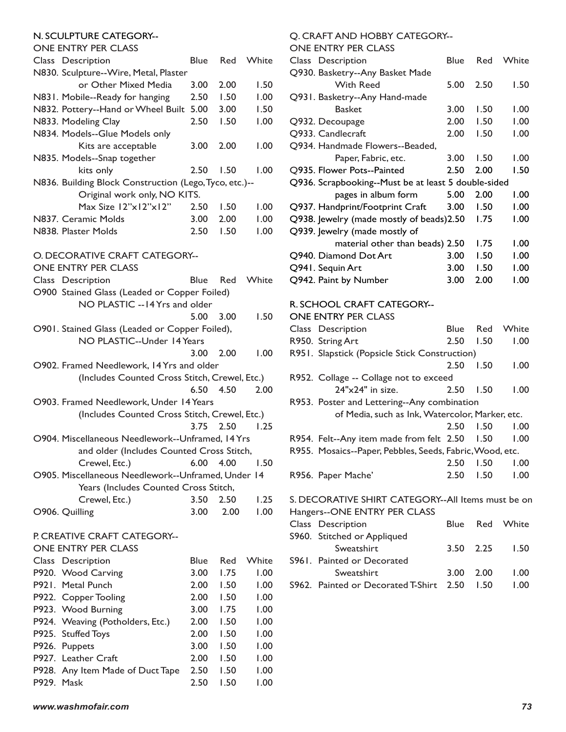#### N. SCULPTURE CATEGORY--

ONE ENTRY PER CLASS

| ONE ENTRY PER CLASS                                     |                   |              |              |
|---------------------------------------------------------|-------------------|--------------|--------------|
| Class Description                                       | <b>Blue</b>       | Red          | White        |
| N830. Sculpture--Wire, Metal, Plaster                   |                   |              |              |
| or Other Mixed Media                                    | 3.00              | 2.00         | 1.50         |
| N831. Mobile--Ready for hanging                         | 2.50              | 1.50         | 1.00         |
| N832. Pottery--Hand or Wheel Built                      | 5.00              | 3.00         | 1.50         |
| N833. Modeling Clay                                     | 2.50              | 1.50         | 1.00         |
| N834. Models--Glue Models only                          |                   |              |              |
| Kits are acceptable                                     | 3.00              | 2.00         | 1.00         |
| N835. Models--Snap together                             |                   |              |              |
| kits only                                               | 2.50              | 1.50         | 1.00         |
| N836. Building Block Construction (Lego, Tyco, etc.)--  |                   |              |              |
| Original work only, NO KITS.                            |                   |              |              |
| Max Size 12"x12"x12"                                    | 2.50              | 1.50         | 1.00         |
| N837. Ceramic Molds                                     | 3.00              | 2.00         | 1.00         |
| N838. Plaster Molds                                     | 2.50              | 1.50         | 1.00         |
|                                                         |                   |              |              |
| O. DECORATIVE CRAFT CATEGORY--                          |                   |              |              |
| <b>ONE ENTRY PER CLASS</b>                              |                   |              |              |
| Class Description                                       | <b>Blue</b>       | Red          | White        |
| O900 Stained Glass (Leaded or Copper Foiled)            |                   |              |              |
| NO PLASTIC -- 14 Yrs and older                          |                   |              |              |
|                                                         | 5.00              | 3.00         | 1.50         |
| O901. Stained Glass (Leaded or Copper Foiled),          |                   |              |              |
| NO PLASTIC--Under 14 Years                              |                   |              |              |
|                                                         | 3.00              | 2.00         | 1.00         |
| O902. Framed Needlework, 14 Yrs and older               |                   |              |              |
| (Includes Counted Cross Stitch, Crewel, Etc.)           |                   |              |              |
|                                                         | 6.50              | 4.50         | 2.00         |
|                                                         |                   |              |              |
| O903. Framed Needlework, Under 14 Years                 |                   |              |              |
| (Includes Counted Cross Stitch, Crewel, Etc.)           | 3.75              |              |              |
|                                                         |                   | 2.50         | 1.25         |
| O904. Miscellaneous Needlework--Unframed, 14 Yrs        |                   |              |              |
| and older (Includes Counted Cross Stitch,               |                   |              |              |
| Crewel, Etc.) 6.00 4.00                                 |                   |              | 1.50         |
| O905. Miscellaneous Needlework--Unframed, Under 14      |                   |              |              |
| Years (Includes Counted Cross Stitch,                   |                   |              |              |
| Crewel, Etc.)                                           | 3.50              | 2.50         | 1.25         |
| O906. Quilling                                          | 3.00              | 2.00         | 1.00         |
|                                                         |                   |              |              |
| P. CREATIVE CRAFT CATEGORY--                            |                   |              |              |
| <b>ONE ENTRY PER CLASS</b>                              |                   |              |              |
| Class Description                                       | <b>Blue</b>       | Red          | White        |
| P920. Wood Carving                                      | 3.00 <sub>1</sub> | 1.75         | 1.00         |
| P921. Metal Punch                                       |                   | 1.50         | 1.00         |
| P922. Copper Tooling                                    | 2.00 <sub>1</sub> |              |              |
| P923. Wood Burning                                      | 2.00 <sub>1</sub> | 1.50         | 1.00         |
|                                                         | 3.00 <sub>1</sub> | 1.75         | 1.00         |
| P924. Weaving (Potholders, Etc.)                        | 2.00              | I.50         | 1.00         |
| P925. Stuffed Toys                                      | 2.00              | 1.50         | 1.00         |
| P926.<br>Puppets                                        | 3.00              | 1.50         | 1.00         |
| P927. Leather Craft<br>P928. Any Item Made of Duct Tape | 2.00<br>2.50      | 1.50<br>1.50 | 1.00<br>1.00 |

P929. Mask 2.50 1.50 1.00

### Q. CRAFT AND HOBBY CATEGORY--

ONE ENTRY PER CLASS

| Class Description                                   | Blue | Red  | White |
|-----------------------------------------------------|------|------|-------|
| Q930. Basketry--Any Basket Made                     |      |      |       |
| With Reed                                           | 5.00 | 2.50 | 1.50  |
| Q931. Basketry--Any Hand-made                       |      |      |       |
| <b>Basket</b>                                       | 3.00 | 1.50 | 1.00  |
| Q932. Decoupage                                     | 2.00 | 1.50 | 1.00  |
| Q933. Candlecraft                                   | 2.00 | 1.50 | 1.00  |
| Q934. Handmade Flowers--Beaded,                     |      |      |       |
| Paper, Fabric, etc.                                 | 3.00 | 1.50 | 1.00  |
| Q935. Flower Pots--Painted                          | 2.50 | 2.00 | 1.50  |
| Q936. Scrapbooking--Must be at least 5 double-sided |      |      |       |
| pages in album form                                 | 5.00 | 2.00 | 1.00  |
| Q937. Handprint/Footprint Craft                     | 3.00 | 1.50 | 1.00  |
| Q938. Jewelry (made mostly of beads)2.50            |      | 1.75 | 1.00  |
| Q939. Jewelry (made mostly of                       |      |      |       |
| material other than beads) 2.50                     |      | 1.75 | 1.00  |
| Q940. Diamond Dot Art                               | 3.00 | 1.50 | 1.00  |
| Q941. Sequin Art                                    | 3.00 | 1.50 | 1.00  |
| Q942. Paint by Number                               | 3.00 | 2.00 | 1.00  |
|                                                     |      |      |       |
|                                                     |      |      |       |

## R. SCHOOL CRAFT CATEGORY--

| <b>ONE ENTRY PER CLASS</b>                               |          |      |       |
|----------------------------------------------------------|----------|------|-------|
| Class Description                                        | Blue Red |      | White |
| R950. String Art                                         | 2.50     | 1.50 | 1.00  |
| R951. Slapstick (Popsicle Stick Construction)            |          |      |       |
|                                                          | 2.50     | 1.50 | 1.00  |
| R952. Collage -- Collage not to exceed                   |          |      |       |
| $24"x24"$ in size.                                       | 2.50     | 1.50 | 1.00  |
| R953. Poster and Lettering--Any combination              |          |      |       |
| of Media, such as Ink, Watercolor, Marker, etc.          |          |      |       |
|                                                          | 2.50     | 1.50 | 1.00  |
| R954. Felt--Any item made from felt 2.50                 |          | 1.50 | 1.00  |
| R955. Mosaics--Paper, Pebbles, Seeds, Fabric, Wood, etc. |          |      |       |
|                                                          | 2.50     | 1.50 | 1.00  |
| R956. Paper Mache'                                       | 2.50     | 1.50 | 1.00  |
|                                                          |          |      |       |

S. DECORATIVE SHIRT CATEGORY--All Items must be on Hangers--ONE ENTRY PER CLASS

| Class Description                       |           | Blue Red White |
|-----------------------------------------|-----------|----------------|
| S960. Stitched or Appliqued             |           |                |
| Sweatshirt                              |           | 3.50 2.25 1.50 |
| <b>S961.</b> Painted or Decorated       |           |                |
| Sweatshirt                              | 3.00 2.00 | 1.00           |
| S962. Painted or Decorated T-Shirt 2.50 | 1.50      | 1.00           |